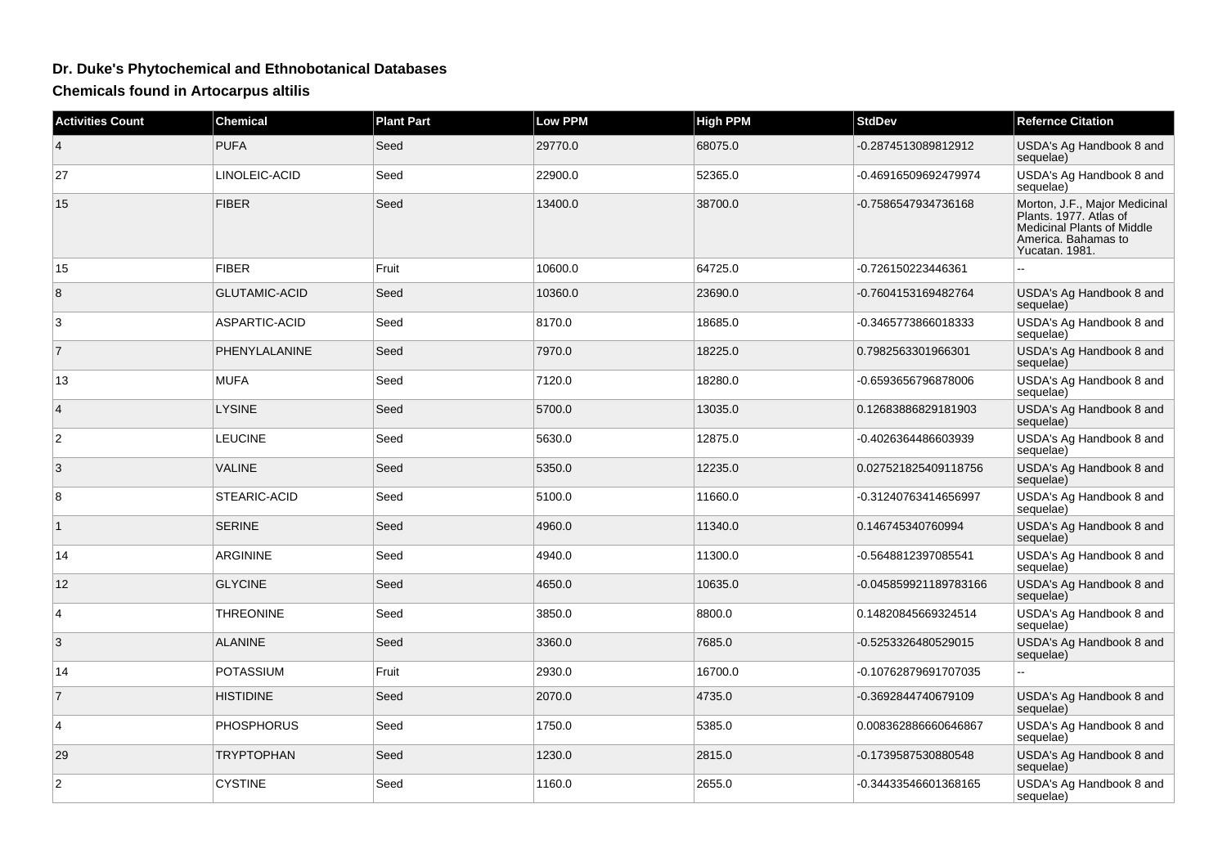## **Dr. Duke's Phytochemical and Ethnobotanical Databases**

**Chemicals found in Artocarpus altilis**

| <b>Activities Count</b> | <b>Chemical</b>      | <b>Plant Part</b> | Low PPM | <b>High PPM</b> | <b>StdDev</b>         | <b>Refernce Citation</b>                                                                                                              |
|-------------------------|----------------------|-------------------|---------|-----------------|-----------------------|---------------------------------------------------------------------------------------------------------------------------------------|
| $\overline{4}$          | <b>PUFA</b>          | Seed              | 29770.0 | 68075.0         | -0.2874513089812912   | USDA's Ag Handbook 8 and<br>sequelae)                                                                                                 |
| 27                      | LINOLEIC-ACID        | Seed              | 22900.0 | 52365.0         | -0.46916509692479974  | USDA's Ag Handbook 8 and<br>sequelae)                                                                                                 |
| 15                      | <b>FIBER</b>         | Seed              | 13400.0 | 38700.0         | -0.7586547934736168   | Morton, J.F., Major Medicinal<br>Plants. 1977. Atlas of<br><b>Medicinal Plants of Middle</b><br>America. Bahamas to<br>Yucatan, 1981. |
| 15                      | <b>FIBER</b>         | Fruit             | 10600.0 | 64725.0         | -0.726150223446361    |                                                                                                                                       |
| 8                       | <b>GLUTAMIC-ACID</b> | Seed              | 10360.0 | 23690.0         | -0.7604153169482764   | USDA's Ag Handbook 8 and<br>sequelae)                                                                                                 |
| 3                       | ASPARTIC-ACID        | Seed              | 8170.0  | 18685.0         | -0.3465773866018333   | USDA's Ag Handbook 8 and<br>sequelae)                                                                                                 |
| $\overline{7}$          | PHENYLALANINE        | Seed              | 7970.0  | 18225.0         | 0.7982563301966301    | USDA's Ag Handbook 8 and<br>sequelae)                                                                                                 |
| 13                      | <b>MUFA</b>          | Seed              | 7120.0  | 18280.0         | -0.6593656796878006   | USDA's Ag Handbook 8 and<br>sequelae)                                                                                                 |
| 4                       | <b>LYSINE</b>        | Seed              | 5700.0  | 13035.0         | 0.12683886829181903   | USDA's Ag Handbook 8 and<br>sequelae)                                                                                                 |
| $\boldsymbol{2}$        | <b>LEUCINE</b>       | Seed              | 5630.0  | 12875.0         | -0.4026364486603939   | USDA's Ag Handbook 8 and<br>sequelae)                                                                                                 |
| 3                       | <b>VALINE</b>        | Seed              | 5350.0  | 12235.0         | 0.027521825409118756  | USDA's Ag Handbook 8 and<br>sequelae)                                                                                                 |
| 8                       | STEARIC-ACID         | Seed              | 5100.0  | 11660.0         | -0.31240763414656997  | USDA's Ag Handbook 8 and<br>sequelae)                                                                                                 |
| $\mathbf{1}$            | <b>SERINE</b>        | Seed              | 4960.0  | 11340.0         | 0.146745340760994     | USDA's Ag Handbook 8 and<br>sequelae)                                                                                                 |
| 14                      | <b>ARGININE</b>      | Seed              | 4940.0  | 11300.0         | -0.5648812397085541   | USDA's Ag Handbook 8 and<br>sequelae)                                                                                                 |
| 12                      | <b>GLYCINE</b>       | Seed              | 4650.0  | 10635.0         | -0.045859921189783166 | USDA's Ag Handbook 8 and<br>sequelae)                                                                                                 |
| 4                       | <b>THREONINE</b>     | Seed              | 3850.0  | 8800.0          | 0.14820845669324514   | USDA's Ag Handbook 8 and<br>sequelae)                                                                                                 |
| 3                       | <b>ALANINE</b>       | Seed              | 3360.0  | 7685.0          | -0.5253326480529015   | USDA's Ag Handbook 8 and<br>sequelae)                                                                                                 |
| 14                      | <b>POTASSIUM</b>     | Fruit             | 2930.0  | 16700.0         | -0.10762879691707035  | $\overline{a}$                                                                                                                        |
| $\overline{7}$          | <b>HISTIDINE</b>     | Seed              | 2070.0  | 4735.0          | -0.3692844740679109   | USDA's Ag Handbook 8 and<br>sequelae)                                                                                                 |
| $\overline{4}$          | <b>PHOSPHORUS</b>    | Seed              | 1750.0  | 5385.0          | 0.008362886660646867  | USDA's Ag Handbook 8 and<br>sequelae)                                                                                                 |
| 29                      | <b>TRYPTOPHAN</b>    | Seed              | 1230.0  | 2815.0          | -0.1739587530880548   | USDA's Ag Handbook 8 and<br>sequelae)                                                                                                 |
| 2                       | <b>CYSTINE</b>       | Seed              | 1160.0  | 2655.0          | -0.34433546601368165  | USDA's Ag Handbook 8 and<br>sequelae)                                                                                                 |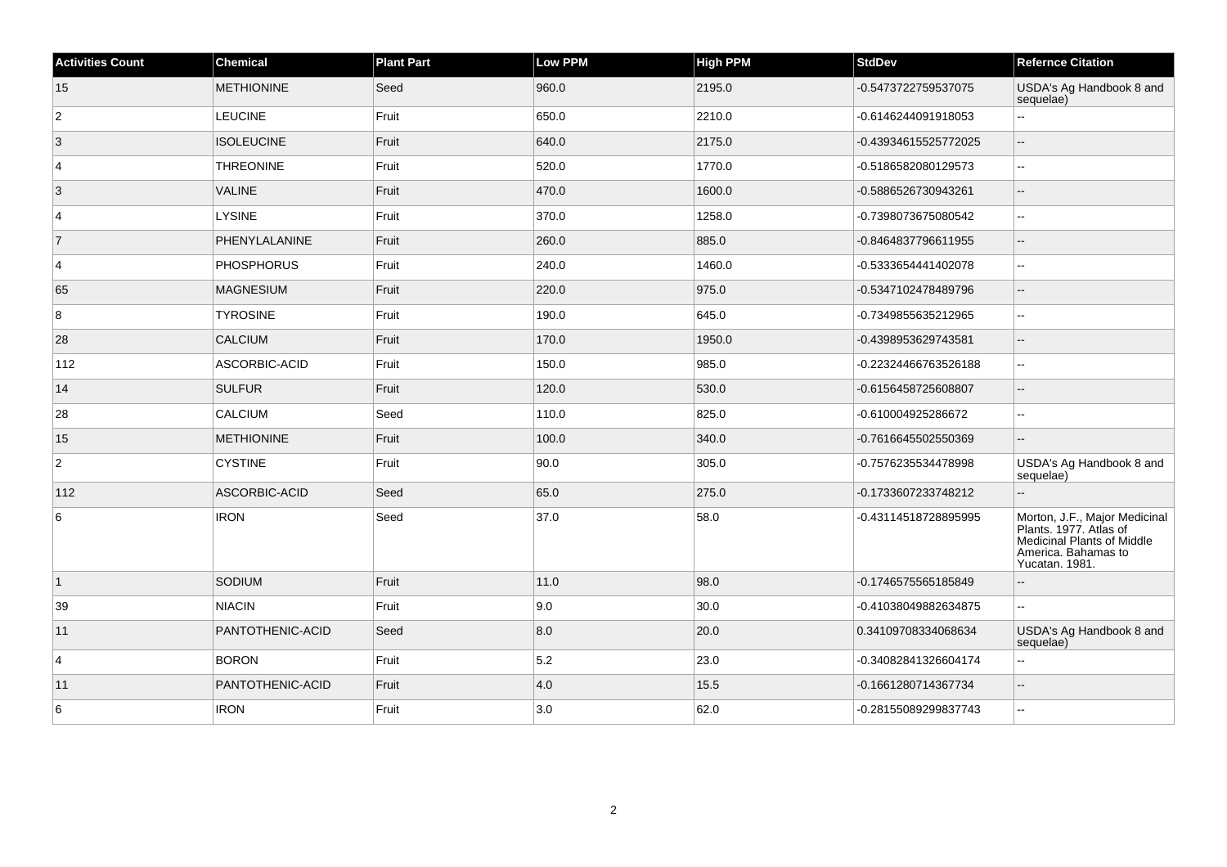| <b>Activities Count</b> | <b>Chemical</b>   | <b>Plant Part</b> | <b>Low PPM</b> | <b>High PPM</b> | <b>StdDev</b>        | <b>Refernce Citation</b>                                                                                                       |
|-------------------------|-------------------|-------------------|----------------|-----------------|----------------------|--------------------------------------------------------------------------------------------------------------------------------|
| 15                      | <b>METHIONINE</b> | Seed              | 960.0          | 2195.0          | -0.5473722759537075  | USDA's Ag Handbook 8 and<br>sequelae)                                                                                          |
| $\overline{c}$          | LEUCINE           | Fruit             | 650.0          | 2210.0          | -0.6146244091918053  | 44                                                                                                                             |
| $\vert$ 3               | <b>ISOLEUCINE</b> | Fruit             | 640.0          | 2175.0          | -0.43934615525772025 | ш,                                                                                                                             |
| 4                       | <b>THREONINE</b>  | Fruit             | 520.0          | 1770.0          | -0.5186582080129573  | --                                                                                                                             |
| 3                       | VALINE            | Fruit             | 470.0          | 1600.0          | -0.5886526730943261  | $\sim$                                                                                                                         |
| $\vert$ 4               | <b>LYSINE</b>     | Fruit             | 370.0          | 1258.0          | -0.7398073675080542  | ц.                                                                                                                             |
| $\overline{7}$          | PHENYLALANINE     | Fruit             | 260.0          | 885.0           | -0.8464837796611955  | $\overline{\phantom{a}}$                                                                                                       |
| 4                       | <b>PHOSPHORUS</b> | Fruit             | 240.0          | 1460.0          | -0.5333654441402078  | $\sim$                                                                                                                         |
| 65                      | <b>MAGNESIUM</b>  | Fruit             | 220.0          | 975.0           | -0.5347102478489796  | $-$                                                                                                                            |
| 8                       | <b>TYROSINE</b>   | Fruit             | 190.0          | 645.0           | -0.7349855635212965  | $\overline{\phantom{a}}$                                                                                                       |
| 28                      | <b>CALCIUM</b>    | Fruit             | 170.0          | 1950.0          | -0.4398953629743581  | $\overline{a}$                                                                                                                 |
| 112                     | ASCORBIC-ACID     | Fruit             | 150.0          | 985.0           | -0.22324466763526188 | $\overline{a}$                                                                                                                 |
| 14                      | <b>SULFUR</b>     | Fruit             | 120.0          | 530.0           | -0.6156458725608807  | --                                                                                                                             |
| 28                      | CALCIUM           | Seed              | 110.0          | 825.0           | -0.610004925286672   | $\overline{\phantom{a}}$                                                                                                       |
| 15                      | <b>METHIONINE</b> | Fruit             | 100.0          | 340.0           | -0.7616645502550369  |                                                                                                                                |
| $\overline{2}$          | <b>CYSTINE</b>    | Fruit             | 90.0           | 305.0           | -0.7576235534478998  | USDA's Ag Handbook 8 and<br>sequelae)                                                                                          |
| 112                     | ASCORBIC-ACID     | Seed              | 65.0           | 275.0           | -0.1733607233748212  | --                                                                                                                             |
| 6                       | <b>IRON</b>       | Seed              | 37.0           | 58.0            | -0.43114518728895995 | Morton, J.F., Major Medicinal<br>Plants. 1977. Atlas of<br>Medicinal Plants of Middle<br>America. Bahamas to<br>Yucatan. 1981. |
| $\vert$ 1               | SODIUM            | Fruit             | 11.0           | 98.0            | -0.1746575565185849  | $-$                                                                                                                            |
| 39                      | <b>NIACIN</b>     | Fruit             | 9.0            | 30.0            | -0.41038049882634875 | Щ,                                                                                                                             |
| 11                      | PANTOTHENIC-ACID  | Seed              | 8.0            | 20.0            | 0.34109708334068634  | USDA's Ag Handbook 8 and<br>sequelae)                                                                                          |
| $\overline{4}$          | <b>BORON</b>      | Fruit             | 5.2            | 23.0            | -0.34082841326604174 | Щ,                                                                                                                             |
| 11                      | PANTOTHENIC-ACID  | Fruit             | 4.0            | 15.5            | -0.1661280714367734  | Ξ.                                                                                                                             |
| 6                       | <b>IRON</b>       | Fruit             | 3.0            | 62.0            | -0.28155089299837743 | Щ,                                                                                                                             |